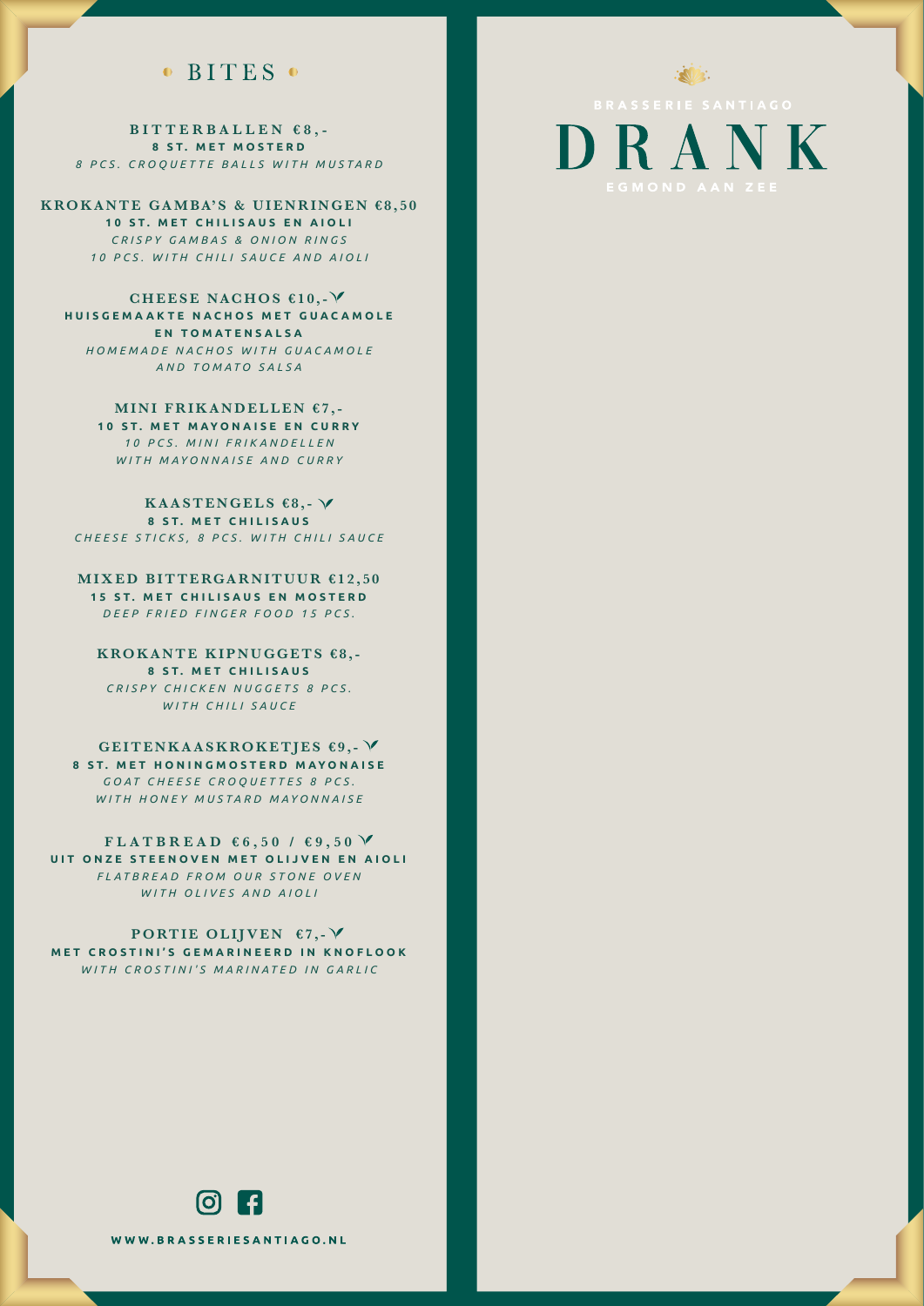#### $\bullet$  BITES  $\bullet$

**BITTERBALLEN €8,- 8 ST. MET MOSTERD** *8 PCS. CROQUETTE BALLS WITH MUSTARD*

**KROKANTE GAMBA'S & UIENRINGEN €8,50 10 ST. MET CHILISAUS EN AIOLI** *CRISPY GAMBAS & ONION RINGS 10 PCS. WITH CHILI SAUCE AND AIOLI*

**CHEESE NACHOS €10,- HUISGEMAAKTE NACHOS MET GUACAMOLE EN TOMATENSALSA** *HOMEMADE NACHOS WITH GUACAMOLE AND TOMATO SALSA*

> **MINI FRIKANDELLEN €7,- 10 ST. MET MAYONAISE EN CURRY** *10 PCS. MINI FRIKANDELLEN WITH MAYONNAISE AND CURRY*

**KAASTENGELS €8,- 8 ST. MET CHILISAUS** *CHEESE STICKS, 8 PCS. WITH CHILI SAUCE*

**MIXED BITTERGARNITUUR €12,50 15 ST. MET CHILISAUS EN MOSTERD** *DEEP FRIED FINGER FOOD 15 PCS.*

**KROKANTE KIPNUGGETS €8,- 8 ST. MET CHILISAUS** *CRISPY CHICKEN NUGGETS 8 PCS. WITH CHILI SAUCE*

**GEITENKAASKROKETJES €9,- 8 ST. MET HONINGMOSTERD MAYONAISE** *GOAT CHEESE CROQUETTES 8 PCS. WITH HONEY MUSTARD MAYONNAISE*

FLATBREAD  $66,50$  /  $69,50$   $\sqrt{ }$ **UIT ONZE STEENOVEN MET OLIJVEN EN AIOLI** *FLATBREAD FROM OUR STONE OVEN WITH OLIVES AND AIOLI*

**PORTIE OLIJVEN €7,- MET CROSTINI'S GEMARINEERD IN KNOFLOOK** *WITH CROSTINI'S MARINATED IN GARLIC*



DRANK

 $\mathbb{Z}$